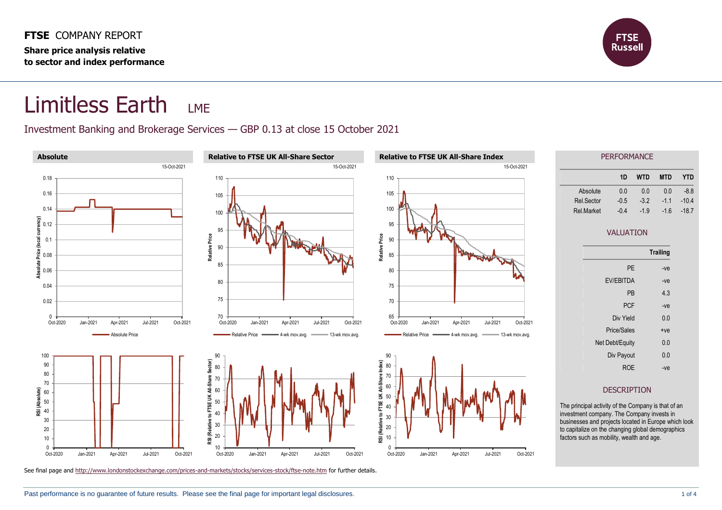

## Limitless Earth LME

## Investment Banking and Brokerage Services — GBP 0.13 at close 15 October 2021

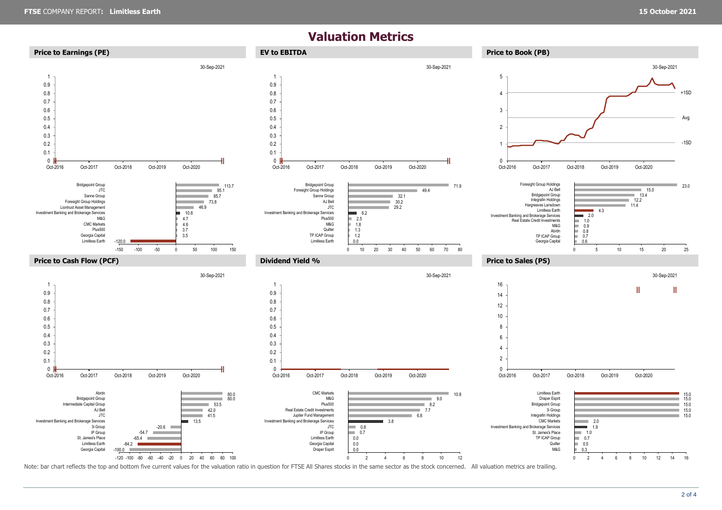## **Valuation Metrics**



Note: bar chart reflects the top and bottom five current values for the valuation ratio in question for FTSE All Shares stocks in the same sector as the stock concerned. All valuation metrics are trailing.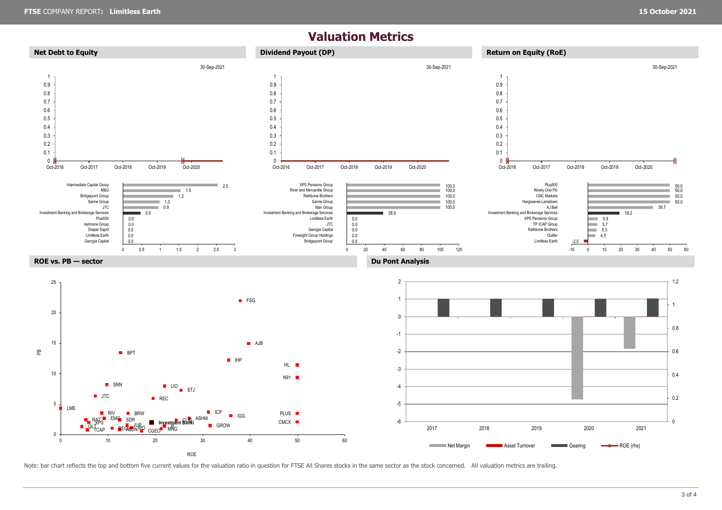## **Valuation Metrics**



Note: bar chart reflects the top and bottom five current values for the valuation ratio in question for FTSE All Shares stocks in the same sector as the stock concerned. All valuation metrics are trailing.